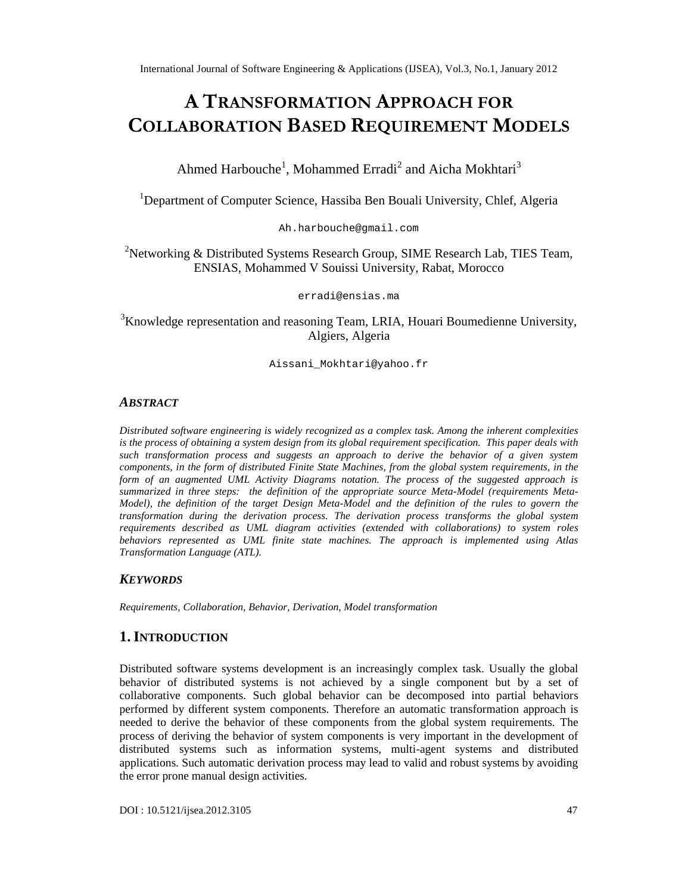# ATRANSFORMATADORDACH FOR COLLABORATI**BANSE DREQUIREMENTODELS**

Ahmed Harbouch<sup>1</sup>e Mohammed Erra $\hat{\text{d}}$ iandAicha Mokhtar $\hat{\text{f}}$ 

<sup>1</sup>Department of Computer Science, Hassiba Ben Bouali University, Chlef, Algeria

Ah.harb [ouche@gmail.com](mailto:harbouche@gmail.com)

## <sup>2</sup>Networking & Distributed Systems Research GroSub, E Research Lab, TIES Team, ENSIAS, Mohammed V Souissi University, Rabat, Morocco

[erradi@ensias.ma](mailto:erradi@ensias.ma)

## <sup>3</sup>Knowledge representation and reasoning Tda M, Houari Boumedienne University, Algiers, Algeria

[Aissani\\_Mokhtari@yahoo.fr](mailto:Aissani_Mokhtari@yahoo.fr)

# **ABSTRACT**

Distributed software regineering is widely recognized as a complex task. Among the inherent complexities is the pocess of obtaining a system design from its global requirement specification. This paper deals with such transformation process and suggests an approach to derive the behavior of a given system components, in the form of distributed Finite State Machines, theglobal system requirements, in the form of an augmented UML Activity Diagrams notation. The process of the suggested approach is summarized in three stepsthe definition of the appropriate source Metabodel (requirements Meta Model), the defintion of the target Design Metalodel and the definition of the rules to govern the transformation during the derivation proces The derivation process transforms the global system requirementsdescribed as UML diagram activities (extended with collaboration to system roles behaviors represented as UML finite state machines. The approach is implemented using Atlas Transformation Language (ATL).

## **KEYWORDS**

RequirementsCollaboration, Behavior, Derivation, Model transformation

## 1.I NTRODUCTION

Distributed software systems development is an increasingly complex task. Usually the global behavior of distributed systems is not achieved by a single component but by a set of collaborative components. Such global behavior can be decomposed into partial behavior performed by different system components. Therefore an automatic transformation approach is needed to derive the behavior of these components from the global system requirements. process of deriving the behavior of system components is very importent development of distributed systems such as information systems, magetht systems and distributed applications.Such automatic derivation process may lead to valid and robust systems by avoiding the error prone manual design activities.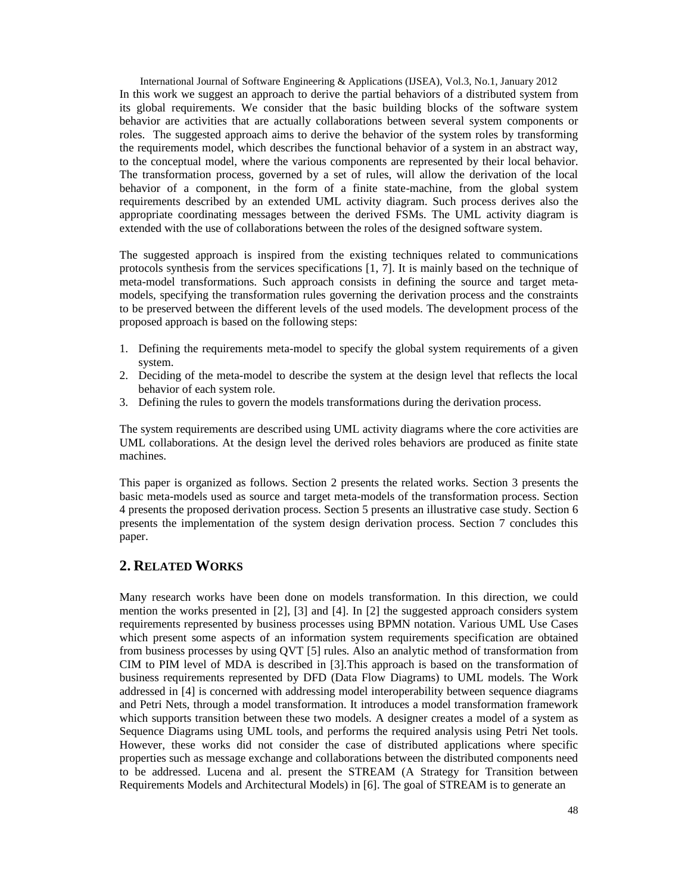International Journal of Software Engineering & Applications (IJSEA), Vol.3, No.1, January 2012 In this work we suggest an approach to derive the partial behaviors of a distributed system from its global requirements. We consider that the basic building blocks of the software system behavior are activities that are actually collaborations between several system components or roles. The suggested approach aims to derive the behavior of the system roles by transforming the requirements model, which describes the functional behavior of a system in an abstract way, to the conceptual model, where the various components are represented by their local behavior. The transformation process, governed by a set of rules, will allow the derivation of the local behavior of a component, in the form of a finite state-machine, from the global system requirements described by an extended UML activity diagram. Such process derives also the appropriate coordinating messages between the derived FSMs. The UML activity diagram is extended with the use of collaborations between the roles of the designed software system.

The suggested approach is inspired from the existing techniques related to communications protocols synthesis from the services specifications [1, 7]. It is mainly based on the technique of meta-model transformations. Such approach consists in defining the source and target metamodels, specifying the transformation rules governing the derivation process and the constraints to be preserved between the different levels of the used models. The development process of the proposed approach is based on the following steps:

- 1. Defining the requirements meta-model to specify the global system requirements of a given system.
- 2. Deciding of the meta-model to describe the system at the design level that reflects the local behavior of each system role.
- 3. Defining the rules to govern the models transformations during the derivation process.

The system requirements are described using UML activity diagrams where the core activities are UML collaborations. At the design level the derived roles behaviors are produced as finite state machines.

This paper is organized as follows. Section 2 presents the related works. Section 3 presents the basic meta-models used as source and target meta-models of the transformation process. Section 4 presents the proposed derivation process. Section 5 presents an illustrative case study. Section 6 presents the implementation of the system design derivation process. Section 7 concludes this paper.

## **2. RELATED WORKS**

Many research works have been done on models transformation. In this direction, we could mention the works presented in [2], [3] and [4]. In [2] the suggested approach considers system requirements represented by business processes using BPMN notation. Various UML Use Cases which present some aspects of an information system requirements specification are obtained from business processes by using QVT [5] rules. Also an analytic method of transformation from CIM to PIM level of MDA is described in [3].This approach is based on the transformation of business requirements represented by DFD (Data Flow Diagrams) to UML models. The Work addressed in [4] is concerned with addressing model interoperability between sequence diagrams and Petri Nets, through a model transformation. It introduces a model transformation framework which supports transition between these two models. A designer creates a model of a system as Sequence Diagrams using UML tools, and performs the required analysis using Petri Net tools. However, these works did not consider the case of distributed applications where specific properties such as message exchange and collaborations between the distributed components need to be addressed. Lucena and al. present the STREAM (A Strategy for Transition between Requirements Models and Architectural Models) in [6]. The goal of STREAM is to generate an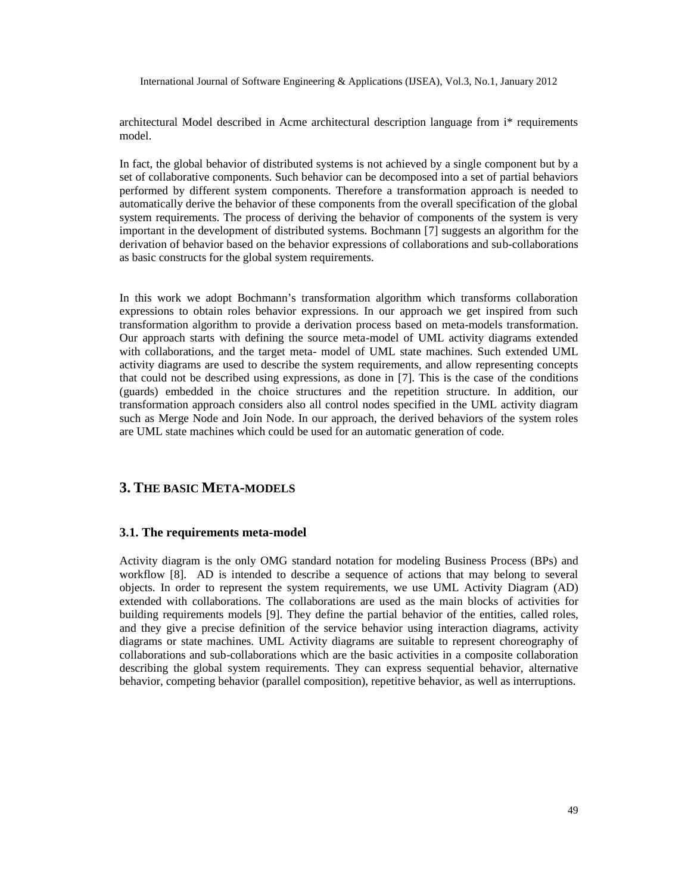architectural Model described in Acme architectural description language from i\* requirements model.

In fact, the global behavior of distributed systems is not achieved by a single component but by a set of collaborative components. Such behavior can be decomposed into a set of partial behaviors performed by different system components. Therefore a transformation approach is needed to automatically derive the behavior of these components from the overall specification of the global system requirements. The process of deriving the behavior of components of the system is very important in the development of distributed systems. Bochmann [7] suggests an algorithm for the derivation of behavior based on the behavior expressions of collaborations and sub-collaborations as basic constructs for the global system requirements.

In this work we adopt Bochmann's transformation algorithm which transforms collaboration expressions to obtain roles behavior expressions. In our approach we get inspired from such transformation algorithm to provide a derivation process based on meta-models transformation. Our approach starts with defining the source meta-model of UML activity diagrams extended with collaborations, and the target meta- model of UML state machines. Such extended UML activity diagrams are used to describe the system requirements, and allow representing concepts that could not be described using expressions, as done in [7]. This is the case of the conditions (guards) embedded in the choice structures and the repetition structure. In addition, our transformation approach considers also all control nodes specified in the UML activity diagram such as Merge Node and Join Node. In our approach, the derived behaviors of the system roles are UML state machines which could be used for an automatic generation of code.

## **3. THE BASIC META-MODELS**

#### **3.1. The requirements meta-model**

Activity diagram is the only OMG standard notation for modeling Business Process (BPs) and workflow [8]. AD is intended to describe a sequence of actions that may belong to several objects. In order to represent the system requirements, we use UML Activity Diagram (AD) extended with collaborations. The collaborations are used as the main blocks of activities for building requirements models [9]. They define the partial behavior of the entities, called roles, and they give a precise definition of the service behavior using interaction diagrams, activity diagrams or state machines. UML Activity diagrams are suitable to represent choreography of collaborations and sub-collaborations which are the basic activities in a composite collaboration describing the global system requirements. They can express sequential behavior, alternative behavior, competing behavior (parallel composition), repetitive behavior, as well as interruptions.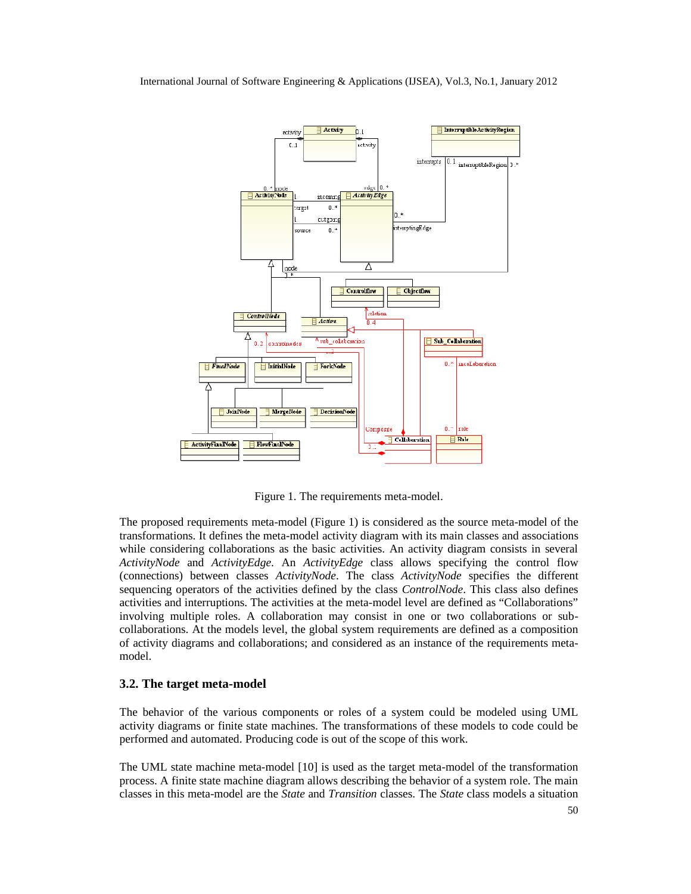

Figure 1. The requirements meta-model.

The proposed requirements meta-model (Figure 1) is considered as the source meta-model of the transformations. It defines the meta-model activity diagram with its main classes and associations while considering collaborations as the basic activities. An activity diagram consists in several *ActivityNode* and *ActivityEdge*. An *ActivityEdge* class allows specifying the control flow (connections) between classes *ActivityNode*. The class *ActivityNode* specifies the different sequencing operators of the activities defined by the class *ControlNode*. This class also defines activities and interruptions. The activities at the meta-model level are defined as "Collaborations" involving multiple roles. A collaboration may consist in one or two collaborations or subcollaborations. At the models level, the global system requirements are defined as a composition of activity diagrams and collaborations; and considered as an instance of the requirements metamodel.

#### **3.2. The target meta-model**

The behavior of the various components or roles of a system could be modeled using UML activity diagrams or finite state machines. The transformations of these models to code could be performed and automated. Producing code is out of the scope of this work.

The UML state machine meta-model [10] is used as the target meta-model of the transformation process. A finite state machine diagram allows describing the behavior of a system role. The main classes in this meta-model are the *State* and *Transition* classes. The *State* class models a situation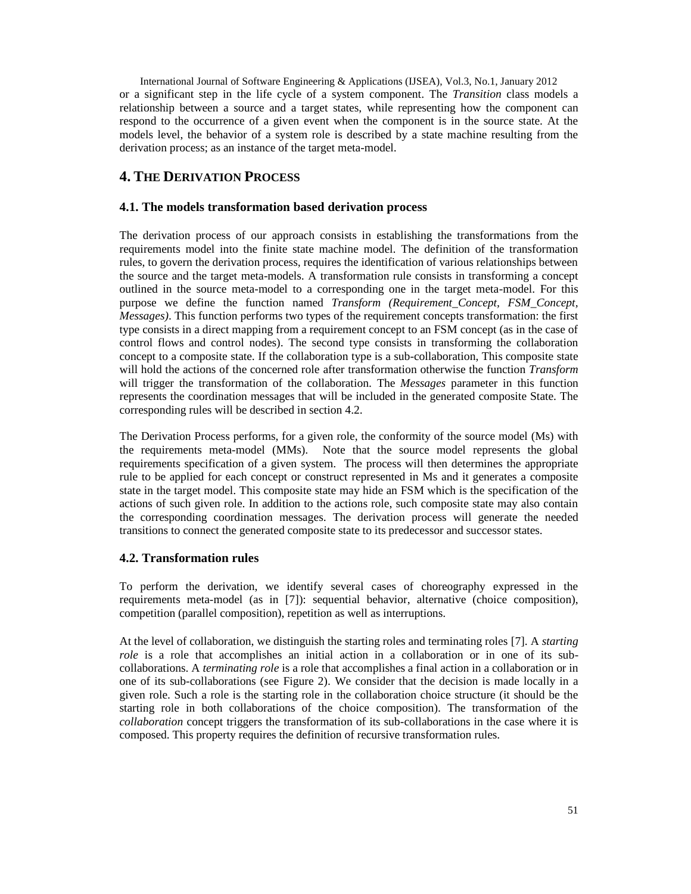International Journal of Software Engineering & Applications (IJSEA), Vol.3, No.1, January 2012 or a significant step in the life cycle of a system component. The *Transition* class models a relationship between a source and a target states, while representing how the component can respond to the occurrence of a given event when the component is in the source state. At the models level, the behavior of a system role is described by a state machine resulting from the derivation process; as an instance of the target meta-model.

## **4. THE DERIVATION PROCESS**

### **4.1. The models transformation based derivation process**

The derivation process of our approach consists in establishing the transformations from the requirements model into the finite state machine model. The definition of the transformation rules, to govern the derivation process, requires the identification of various relationships between the source and the target meta-models. A transformation rule consists in transforming a concept outlined in the source meta-model to a corresponding one in the target meta-model. For this purpose we define the function named *Transform (Requirement\_Concept, FSM\_Concept, Messages)*. This function performs two types of the requirement concepts transformation: the first type consists in a direct mapping from a requirement concept to an FSM concept (as in the case of control flows and control nodes). The second type consists in transforming the collaboration concept to a composite state. If the collaboration type is a sub-collaboration, This composite state will hold the actions of the concerned role after transformation otherwise the function *Transform* will trigger the transformation of the collaboration. The *Messages* parameter in this function represents the coordination messages that will be included in the generated composite State. The corresponding rules will be described in section 4.2.

The Derivation Process performs, for a given role, the conformity of the source model (Ms) with the requirements meta-model (MMs). Note that the source model represents the global requirements specification of a given system. The process will then determines the appropriate rule to be applied for each concept or construct represented in Ms and it generates a composite state in the target model. This composite state may hide an FSM which is the specification of the actions of such given role. In addition to the actions role, such composite state may also contain the corresponding coordination messages. The derivation process will generate the needed transitions to connect the generated composite state to its predecessor and successor states.

## **4.2. Transformation rules**

To perform the derivation, we identify several cases of choreography expressed in the requirements meta-model (as in [7]): sequential behavior, alternative (choice composition), competition (parallel composition), repetition as well as interruptions.

At the level of collaboration, we distinguish the starting roles and terminating roles [7]. A *starting role* is a role that accomplishes an initial action in a collaboration or in one of its subcollaborations. A *terminating role* is a role that accomplishes a final action in a collaboration or in one of its sub-collaborations (see Figure 2). We consider that the decision is made locally in a given role. Such a role is the starting role in the collaboration choice structure (it should be the starting role in both collaborations of the choice composition). The transformation of the *collaboration* concept triggers the transformation of its sub-collaborations in the case where it is composed. This property requires the definition of recursive transformation rules.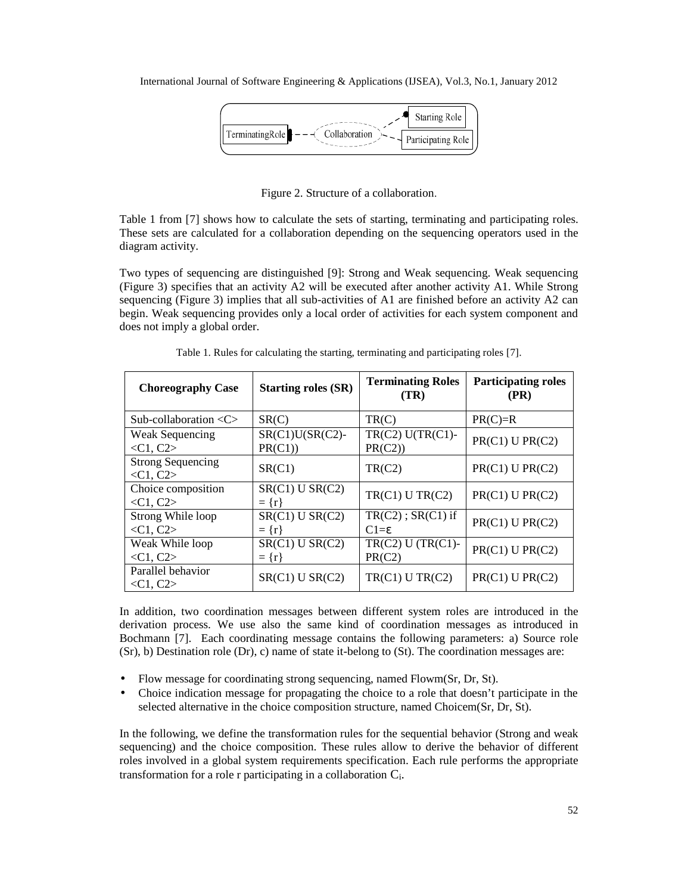

Figure 2. Structure of a collaboration.

Table 1 from [7] shows how to calculate the sets of starting, terminating and participating roles. These sets are calculated for a collaboration depending on the sequencing operators used in the diagram activity.

Two types of sequencing are distinguished [9]: Strong and Weak sequencing. Weak sequencing (Figure 3) specifies that an activity A2 will be executed after another activity A1. While Strong sequencing (Figure 3) implies that all sub-activities of A1 are finished before an activity A2 can begin. Weak sequencing provides only a local order of activities for each system component and does not imply a global order.

| <b>Choreography Case</b>                             | <b>Starting roles (SR)</b>       | <b>Terminating Roles</b><br>(TR)          | <b>Participating roles</b><br>(PR) |
|------------------------------------------------------|----------------------------------|-------------------------------------------|------------------------------------|
| Sub-collaboration $\langle C \rangle$                | SR(C)                            | TR(C)                                     | $PR(C)=R$                          |
| <b>Weak Sequencing</b><br>$\langle C1, C2 \rangle$   | $SR(C1)U(SR(C2)$ -<br>PR(C1)     | $TR(C2) U(TR(C1) -$<br>PR(C2)             | PR(C1) U PR(C2)                    |
| <b>Strong Sequencing</b><br>$\langle C1, C2 \rangle$ | SR(C1)                           | TR(C2)                                    | $PR(C1)$ U $PR(C2)$                |
| Choice composition<br>$\langle C1, C2 \rangle$       | $SR(C1)$ U $SR(C2)$<br>$= \{r\}$ | TR(C1) U TR(C2)                           | $PR(C1)$ U $PR(C2)$                |
| Strong While loop<br>$\langle C1, C2 \rangle$        | $SR(C1)$ U $SR(C2)$<br>$= \{r\}$ | $TR(C2)$ ; $SR(C1)$ if<br>$C1 = \epsilon$ | PR(C1) U PR(C2)                    |
| Weak While loop<br>$\langle C1, C2 \rangle$          | $SR(C1)$ U $SR(C2)$<br>$= \{r\}$ | $TR(C2) U (TR(C1)$ -<br>PR(C2)            | PR(C1) U PR(C2)                    |
| Parallel behavior<br>$\langle C1, C2 \rangle$        | $SR(C1)$ U $SR(C2)$              | TR(C1) U TR(C2)                           | PR(C1) U PR(C2)                    |

Table 1. Rules for calculating the starting, terminating and participating roles [7].

In addition, two coordination messages between different system roles are introduced in the derivation process. We use also the same kind of coordination messages as introduced in Bochmann [7]. Each coordinating message contains the following parameters: a) Source role (Sr), b) Destination role (Dr), c) name of state it-belong to (St). The coordination messages are:

- Flow message for coordinating strong sequencing, named Flowm(Sr, Dr, St).
- Choice indication message for propagating the choice to a role that doesn't participate in the selected alternative in the choice composition structure, named Choicem(Sr, Dr, St).

In the following, we define the transformation rules for the sequential behavior (Strong and weak sequencing) and the choice composition. These rules allow to derive the behavior of different roles involved in a global system requirements specification. Each rule performs the appropriate transformation for a role r participating in a collaboration  $C_i$ .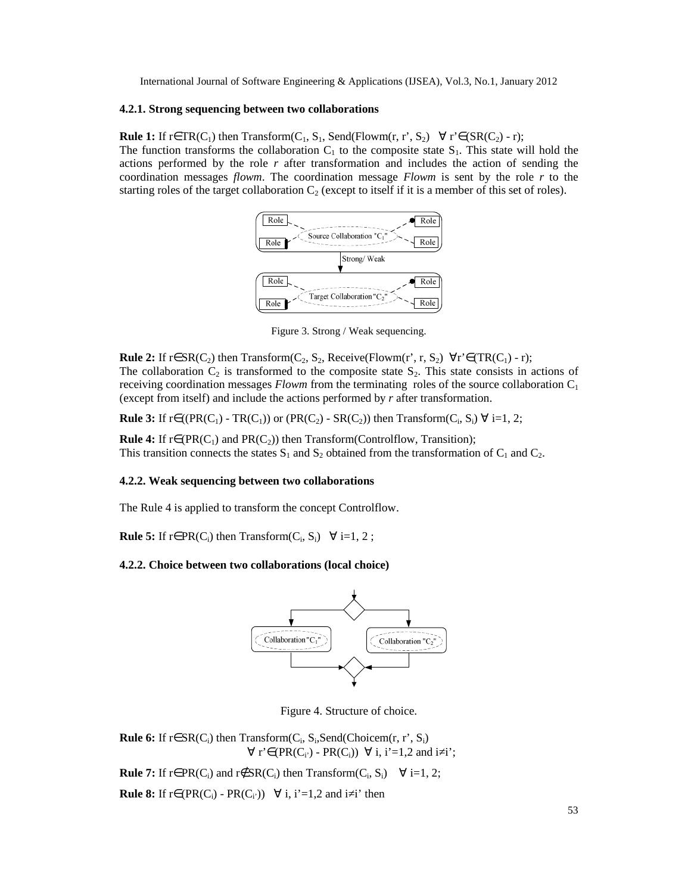#### **4.2.1. Strong sequencing between two collaborations**

**Rule 1:** If r∈TR(C<sub>1</sub>) then Transform(C<sub>1</sub>, S<sub>1</sub>, Send(Flowm(r, r', S<sub>2</sub>)  $\forall$  r'∈(SR(C<sub>2</sub>) - r); The function transforms the collaboration  $C_1$  to the composite state S<sub>1</sub>. This state will hold the actions performed by the role *r* after transformation and includes the action of sending the coordination messages *flowm*. The coordination message *Flowm* is sent by the role *r* to the starting roles of the target collaboration  $C_2$  (except to itself if it is a member of this set of roles).



Figure 3. Strong / Weak sequencing.

**Rule 2:** If r∈ SR(C<sub>2</sub>) then Transform(C<sub>2</sub>, S<sub>2</sub>, Receive(Flowm(r', r, S<sub>2</sub>)  $\forall$  r'∈(TR(C<sub>1</sub>) - r); The collaboration  $C_2$  is transformed to the composite state  $S_2$ . This state consists in actions of receiving coordination messages *Flowm* from the terminating roles of the source collaboration C<sub>1</sub> (except from itself) and include the actions performed by *r* after transformation.

**Rule 3:** If  $r \in ((PR(C_1) - TR(C_1))$  or  $(PR(C_2) - SR(C_2))$  then Transform( $C_i, S_i$ )  $\forall i=1, 2;$ 

**Rule 4:** If  $r \in (PR(C_1)$  and  $PR(C_2)$ ) then Transform(Controlflow, Transition); This transition connects the states  $S_1$  and  $S_2$  obtained from the transformation of  $C_1$  and  $C_2$ .

## **4.2.2. Weak sequencing between two collaborations**

The Rule 4 is applied to transform the concept Controlflow.

**Rule 5:** If  $r \in PR(C_i)$  then Transform( $C_i$ ,  $S_i$ )  $\forall i=1, 2;$ 

## **4.2.2. Choice between two collaborations (local choice)**



Figure 4. Structure of choice.

**Rule 6:** If  $r \in SR(C_i)$  then Transform( $C_i$ ,  $S_i$ , Send(Choicem( $r$ ,  $r'$ ,  $S_i$ )  $\forall$  r'∈(PR(C<sub>i</sub>) - PR(C<sub>i</sub>))  $\forall$  i, i'=1,2 and i i';

**Rule 7:** If r∈ PR(C<sub>i</sub>) and r∉ SR(C<sub>i</sub>) then Transform(C<sub>i</sub>, S<sub>i</sub>)  $\forall$  i=1, 2;

**Rule 8:** If r∈(PR(C<sub>i</sub>) - PR(C<sub>i</sub>))  $\forall$  i, i'=1,2 and i i' then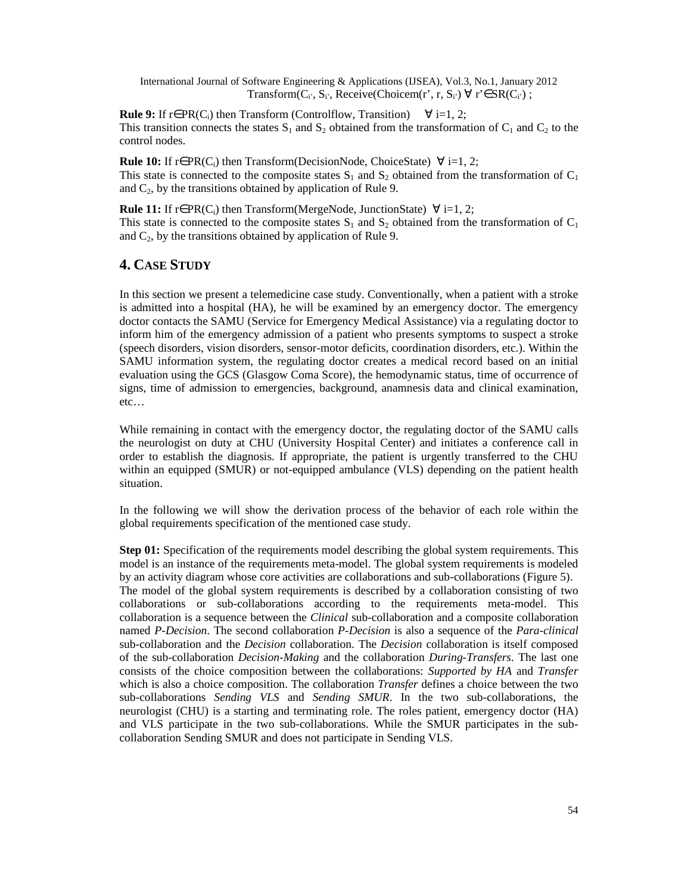International Journal of Software Engineering & Applications (IJSEA), Vol.3, No.1, January 2012 Transform( $C_i$ ,  $S_i$ , Receive(Choicem(r', r,  $S_i$ )  $\forall$  r' $\in$  SR( $C_i$ );

**Rule 9:** If r∈ PR(C<sub>i</sub>) then Transform (Controlflow, Transition)  $\forall$  i=1, 2; This transition connects the states  $S_1$  and  $S_2$  obtained from the transformation of  $C_1$  and  $C_2$  to the control nodes.

**Rule 10:** If r∈PR(C<sub>i</sub>) then Transform(DecisionNode, ChoiceState)  $\forall$  i=1, 2; This state is connected to the composite states  $S_1$  and  $S_2$  obtained from the transformation of  $C_1$ and  $C_2$ , by the transitions obtained by application of Rule 9.

**Rule 11:** If r∈ PR(C<sub>i</sub>) then Transform(MergeNode, JunctionState)  $\forall$  i=1, 2; This state is connected to the composite states  $S_1$  and  $S_2$  obtained from the transformation of  $C_1$ and  $C_2$ , by the transitions obtained by application of Rule 9.

## **4. CASE STUDY**

In this section we present a telemedicine case study. Conventionally, when a patient with a stroke is admitted into a hospital (HA), he will be examined by an emergency doctor. The emergency doctor contacts the SAMU (Service for Emergency Medical Assistance) via a regulating doctor to inform him of the emergency admission of a patient who presents symptoms to suspect a stroke (speech disorders, vision disorders, sensor-motor deficits, coordination disorders, etc.). Within the SAMU information system, the regulating doctor creates a medical record based on an initial evaluation using the GCS (Glasgow Coma Score), the hemodynamic status, time of occurrence of signs, time of admission to emergencies, background, anamnesis data and clinical examination, etc…

While remaining in contact with the emergency doctor, the regulating doctor of the SAMU calls the neurologist on duty at CHU (University Hospital Center) and initiates a conference call in order to establish the diagnosis. If appropriate, the patient is urgently transferred to the CHU within an equipped (SMUR) or not-equipped ambulance (VLS) depending on the patient health situation.

In the following we will show the derivation process of the behavior of each role within the global requirements specification of the mentioned case study.

**Step 01:** Specification of the requirements model describing the global system requirements. This model is an instance of the requirements meta-model. The global system requirements is modeled by an activity diagram whose core activities are collaborations and sub-collaborations (Figure 5). The model of the global system requirements is described by a collaboration consisting of two collaborations or sub-collaborations according to the requirements meta-model. This collaboration is a sequence between the *Clinical* sub-collaboration and a composite collaboration named *P-Decision*. The second collaboration *P-Decision* is also a sequence of the *Para-clinical* sub-collaboration and the *Decision* collaboration. The *Decision* collaboration is itself composed of the sub-collaboration *Decision-Making* and the collaboration *During-Transfers*. The last one consists of the choice composition between the collaborations: *Supported by HA* and *Transfer* which is also a choice composition. The collaboration *Transfer* defines a choice between the two sub-collaborations *Sending VLS* and *Sending SMUR*. In the two sub-collaborations, the neurologist (CHU) is a starting and terminating role. The roles patient, emergency doctor (HA) and VLS participate in the two sub-collaborations. While the SMUR participates in the subcollaboration Sending SMUR and does not participate in Sending VLS.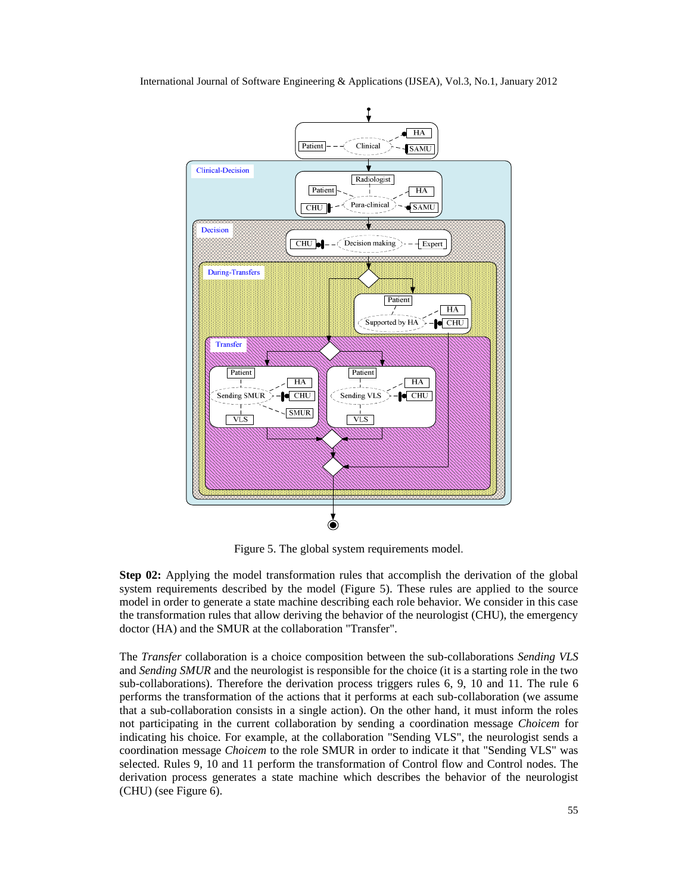

Figure 5. The global system requirements model.

**Step 02:** Applying the model transformation rules that accomplish the derivation of the global system requirements described by the model (Figure 5). These rules are applied to the source model in order to generate a state machine describing each role behavior. We consider in this case the transformation rules that allow deriving the behavior of the neurologist (CHU), the emergency doctor (HA) and the SMUR at the collaboration "Transfer".

The *Transfer* collaboration is a choice composition between the sub-collaborations *Sending VLS* and *Sending SMUR* and the neurologist is responsible for the choice (it is a starting role in the two sub-collaborations). Therefore the derivation process triggers rules 6, 9, 10 and 11. The rule 6 performs the transformation of the actions that it performs at each sub-collaboration (we assume that a sub-collaboration consists in a single action). On the other hand, it must inform the roles not participating in the current collaboration by sending a coordination message *Choicem* for indicating his choice. For example, at the collaboration "Sending VLS", the neurologist sends a coordination message *Choicem* to the role SMUR in order to indicate it that "Sending VLS" was selected. Rules 9, 10 and 11 perform the transformation of Control flow and Control nodes. The derivation process generates a state machine which describes the behavior of the neurologist (CHU) (see Figure 6).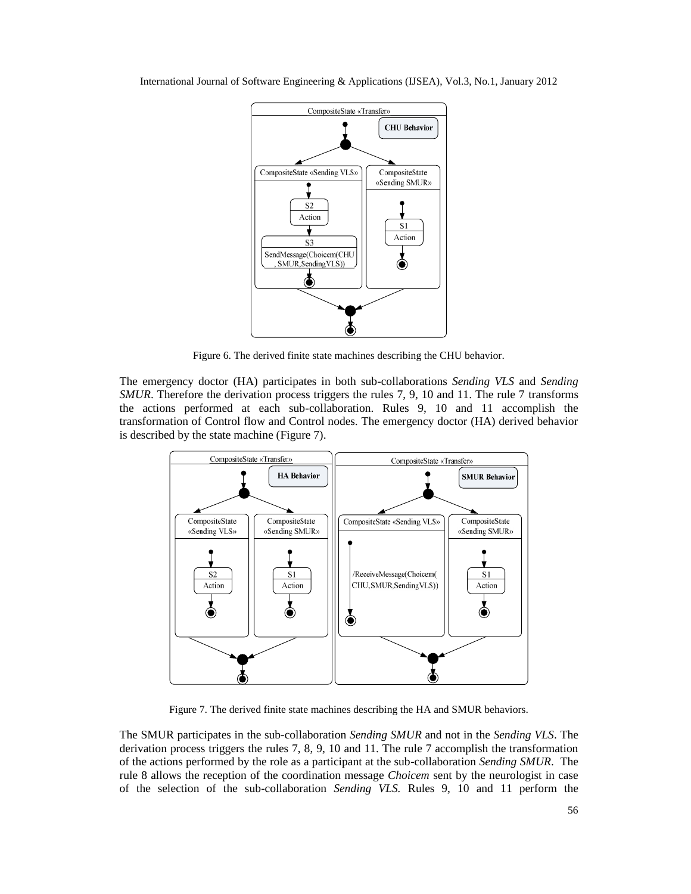

Figure 6. The derived finite state machines describing the CHU behavior.

The emergency doctor (HA) participates in both sub-collaborations *Sending VLS* and *Sending SMUR*. Therefore the derivation process triggers the rules 7, 9, 10 and 11. The rule 7 transforms the actions performed at each sub-collaboration. Rules 9, 10 and 11 accomplish the transformation of Control flow and Control nodes. The emergency doctor (HA) derived behavior is described by the state machine (Figure 7).



Figure 7. The derived finite state machines describing the HA and SMUR behaviors.

The SMUR participates in the sub-collaboration *Sending SMUR* and not in the *Sending VLS*. The derivation process triggers the rules 7, 8, 9, 10 and 11. The rule 7 accomplish the transformation of the actions performed by the role as a participant at the sub-collaboration *Sending SMUR*. The rule 8 allows the reception of the coordination message *Choicem* sent by the neurologist in case of the selection of the sub-collaboration *Sending VLS.* Rules 9, 10 and 11 perform the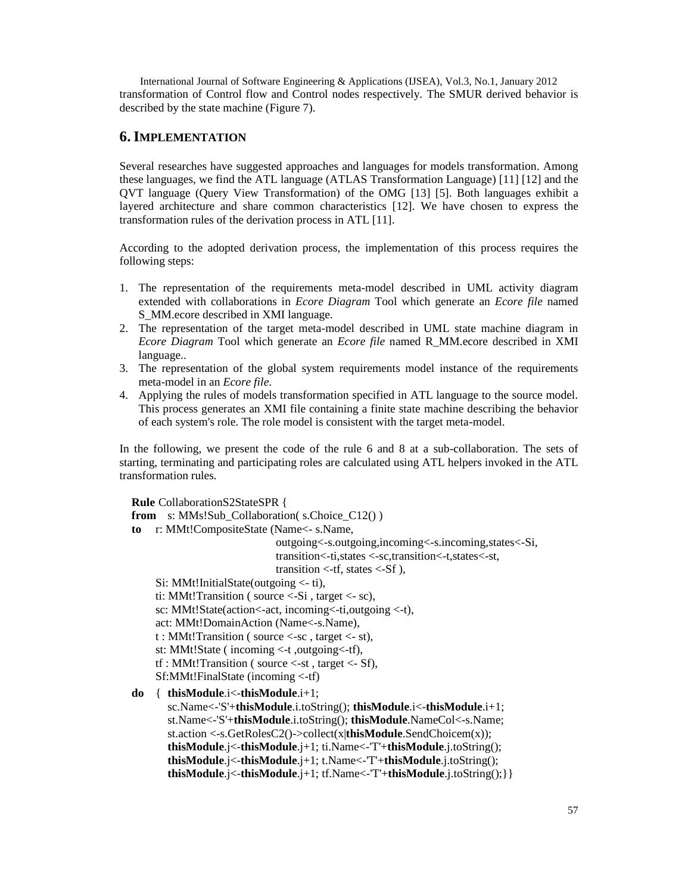International Journal of Software Engineering & Applications (IJSEA), Vol.3, No.1, January 2012 transformation of Control flow and Control nodes respectively. The SMUR derived behavior is described by the state machine (Figure 7).

## **6. IMPLEMENTATION**

Several researches have suggested approaches and languages for models transformation. Among these languages, we find the ATL language (ATLAS Transformation Language) [11] [12] and the QVT language (Query View Transformation) of the OMG [13] [5]. Both languages exhibit a layered architecture and share common characteristics [12]. We have chosen to express the transformation rules of the derivation process in ATL [11].

According to the adopted derivation process, the implementation of this process requires the following steps:

- 1. The representation of the requirements meta-model described in UML activity diagram extended with collaborations in *Ecore Diagram* Tool which generate an *Ecore file* named S MM.ecore described in XMI language.
- 2. The representation of the target meta-model described in UML state machine diagram in *Ecore Diagram* Tool which generate an *Ecore file* named R\_MM.ecore described in XMI language..
- 3. The representation of the global system requirements model instance of the requirements meta-model in an *Ecore file*.
- 4. Applying the rules of models transformation specified in ATL language to the source model. This process generates an XMI file containing a finite state machine describing the behavior of each system's role. The role model is consistent with the target meta-model.

In the following, we present the code of the rule 6 and 8 at a sub-collaboration. The sets of starting, terminating and participating roles are calculated using ATL helpers invoked in the ATL transformation rules.

**Rule** CollaborationS2StateSPR { from s: MMs!Sub\_Collaboration( s.Choice\_C12() ) **to** r: MMt!CompositeState (Name<- s.Name, outgoing<-s.outgoing,incoming<-s.incoming,states<-Si, transition<-ti,states <-sc,transition<-t,states<-st, transition  $\lt$ -tf, states  $\lt$ -Sf), Si: MMt!InitialState(outgoing <- ti), ti: MMt!Transition ( source <-Si , target <- sc), sc: MMt!State(action<-act, incoming<-ti,outgoing <-t), act: MMt!DomainAction (Name<-s.Name), t : MMt!Transition ( source <-sc , target <- st), st: MMt!State ( incoming <-t ,outgoing<-tf), tf : MMt!Transition ( source <-st , target <- Sf), Sf:MMt!FinalState (incoming <-tf) **do** { **thisModule**.i<-**thisModule**.i+1; sc.Name<-'S'+**thisModule**.i.toString(); **thisModule**.i<-**thisModule**.i+1; st.Name<-'S'+**thisModule**.i.toString(); **thisModule**.NameCol<-s.Name; st.action <-s.GetRolesC2()->collect(x|**thisModule**.SendChoicem(x)); **thisModule**.j<-**thisModule**.j+1; ti.Name<-'T'+**thisModule**.j.toString();

```
thisModule.j<-thisModule.j+1; tf.Name<-'T'+thisModule.j.toString();}}
```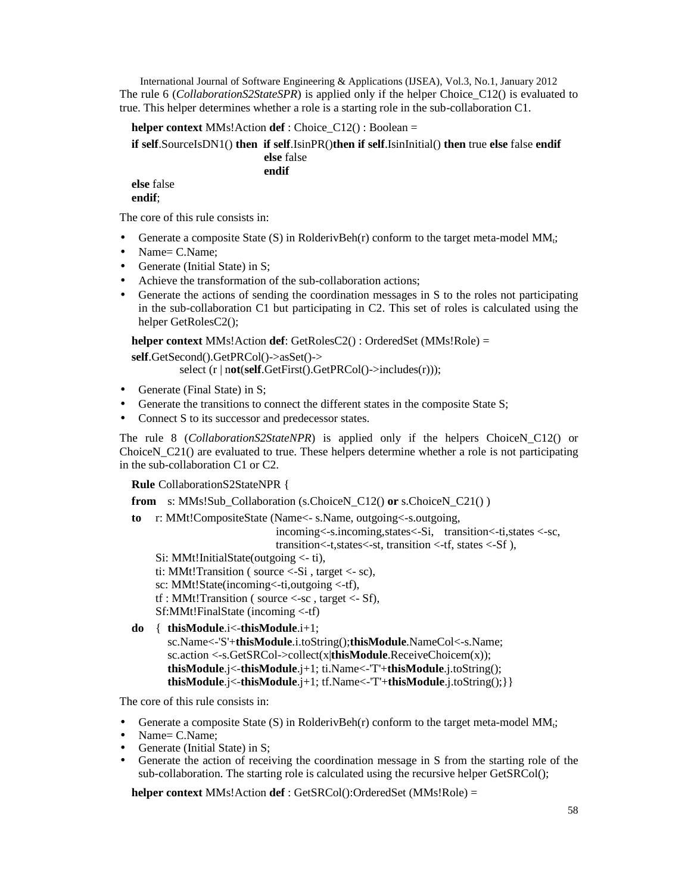International Journal of Software Engineering & Applications (IJSEA), Vol.3, No.1, January 2012 The rule 6 (*CollaborationS2StateSPR*) is applied only if the helper Choice C12() is evaluated to true. This helper determines whether a role is a starting role in the sub-collaboration C1.

**helper context** MMs!Action **def** : Choice\_C12() : Boolean =

**if self**.SourceIsDN1() **then if self**.IsinPR()**then if self**.IsinInitial() **then** true **else** false **endif**

**else** false **endif**

**else** false **endif**;

The core of this rule consists in:

- Generate a composite State  $(S)$  in RolderivBeh(r) conform to the target meta-model MM<sub>t</sub>;
- Name= C.Name:
- Generate (Initial State) in S:
- Achieve the transformation of the sub-collaboration actions;
- Generate the actions of sending the coordination messages in S to the roles not participating in the sub-collaboration C1 but participating in C2. This set of roles is calculated using the helper GetRolesC2();

**helper context** MMs!Action **def**: GetRolesC2() : OrderedSet (MMs!Role) =

**self**.GetSecond().GetPRCol()->asSet()->

select (r | n**ot**(**self**.GetFirst().GetPRCol()->includes(r)));

- Generate (Final State) in S;
- Generate the transitions to connect the different states in the composite State S;
- Connect S to its successor and predecessor states.

The rule 8 (*CollaborationS2StateNPR*) is applied only if the helpers ChoiceN\_C12() or ChoiceN\_C21() are evaluated to true. These helpers determine whether a role is not participating in the sub-collaboration C1 or C2.

**Rule** CollaborationS2StateNPR {

**from** s: MMs!Sub\_Collaboration (s.ChoiceN\_C12() **or** s.ChoiceN\_C21() )

**to** r: MMt!CompositeState (Name<- s.Name, outgoing<-s.outgoing,

incoming<-s.incoming,states<-Si, transition<-ti,states <-sc, transition<-t,states<-st, transition <-tf, states <-Sf ),

Si: MMt!InitialState(outgoing <- ti),

ti: MMt! Transition ( source  $\le$ -Si, target  $\le$ - sc),

sc: MMt!State(incoming<-ti,outgoing <-tf),

```
tf : MMt! Transition ( source \leq-sc, target \leq-Sf),
```
Sf:MMt!FinalState (incoming <-tf)

**do** { **thisModule**.i<-**thisModule**.i+1; sc.Name<-'S'+**thisModule**.i.toString();**thisModule**.NameCol<-s.Name; sc.action <-s.GetSRCol->collect(x|**thisModule**.ReceiveChoicem(x)); **thisModule**.j<-**thisModule**.j+1; ti.Name<-'T'+**thisModule**.j.toString(); **thisModule**.j<-**thisModule**.j+1; tf.Name<-'T'+**thisModule**.j.toString();}}

The core of this rule consists in:

- Generate a composite State (S) in RolderivBeh(r) conform to the target meta-model  $MM_t$ ;
- Name= C.Name:
- Generate (Initial State) in S:
- Generate the action of receiving the coordination message in S from the starting role of the sub-collaboration. The starting role is calculated using the recursive helper GetSRCol();

**helper context** MMs!Action **def** : GetSRCol():OrderedSet (MMs!Role) =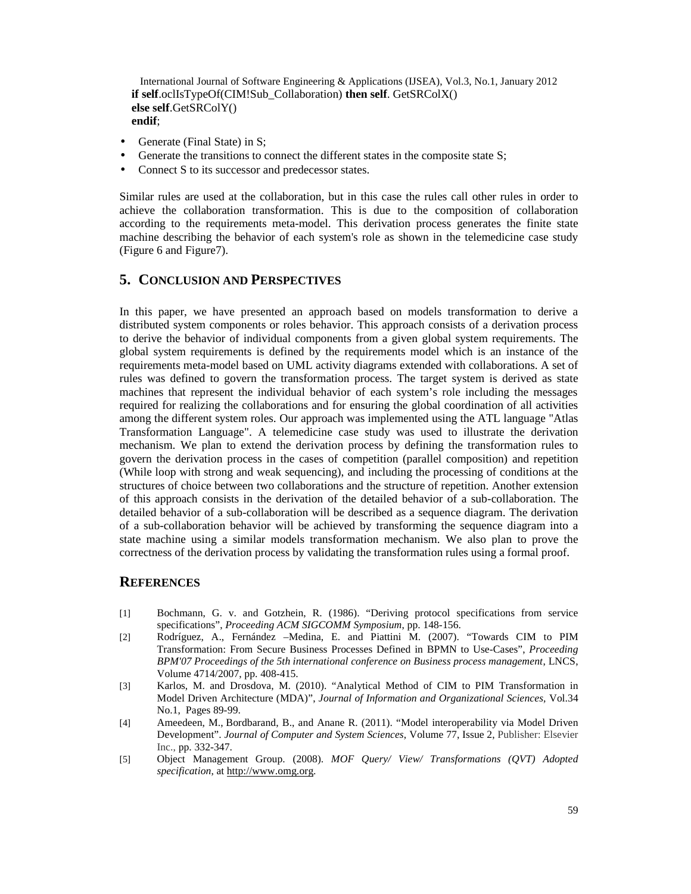```
International Journal of Software Engineering & Applications (IJSEA), Vol.3, No.1, January 2012
if self.oclIsTypeOf(CIM!Sub_Collaboration) then self. GetSRColX()
else self.GetSRColY()
endif;
```
- Generate (Final State) in S;
- Generate the transitions to connect the different states in the composite state S;
- Connect S to its successor and predecessor states.

Similar rules are used at the collaboration, but in this case the rules call other rules in order to achieve the collaboration transformation. This is due to the composition of collaboration according to the requirements meta-model. This derivation process generates the finite state machine describing the behavior of each system's role as shown in the telemedicine case study (Figure 6 and Figure7).

# **5. CONCLUSION AND PERSPECTIVES**

In this paper, we have presented an approach based on models transformation to derive a distributed system components or roles behavior. This approach consists of a derivation process to derive the behavior of individual components from a given global system requirements. The global system requirements is defined by the requirements model which is an instance of the requirements meta-model based on UML activity diagrams extended with collaborations. A set of rules was defined to govern the transformation process. The target system is derived as state machines that represent the individual behavior of each system's role including the messages required for realizing the collaborations and for ensuring the global coordination of all activities among the different system roles. Our approach was implemented using the ATL language "Atlas Transformation Language". A telemedicine case study was used to illustrate the derivation mechanism. We plan to extend the derivation process by defining the transformation rules to govern the derivation process in the cases of competition (parallel composition) and repetition (While loop with strong and weak sequencing), and including the processing of conditions at the structures of choice between two collaborations and the structure of repetition. Another extension of this approach consists in the derivation of the detailed behavior of a sub-collaboration. The detailed behavior of a sub-collaboration will be described as a sequence diagram. The derivation of a sub-collaboration behavior will be achieved by transforming the sequence diagram into a state machine using a similar models transformation mechanism. We also plan to prove the correctness of the derivation process by validating the transformation rules using a formal proof.

# **REFERENCES**

- [1] Bochmann, G. v. and Gotzhein, R. (1986). "Deriving protocol specifications from service specifications", *Proceeding ACM SIGCOMM Symposium*, pp. 148-156.
- [2] Rodríguez, A., Fernández –Medina, E. and Piattini M. (2007). "Towards CIM to PIM Transformation: From Secure Business Processes Defined in BPMN to Use-Cases", *Proceeding BPM'07 Proceedings of the 5th international conference on Business process management*, LNCS, Volume 4714/2007, pp. 408-415.
- [3] Karlos, M. and Drosdova, M. (2010). "Analytical Method of CIM to PIM Transformation in Model Driven Architecture (MDA)", *Journal of Information and Organizational Sciences,* Vol.34 No.1, Pages 89-99.
- [4] Ameedeen, M., Bordbarand, B., and Anane R. (2011). "Model interoperability via Model Driven Development". *Journal of Computer and System Sciences*, Volume 77, Issue 2, Publisher: Elsevier Inc., pp. 332-347.
- [5] Object Management Group. (2008). *MOF Query/ View/ Transformations (QVT) Adopted specification*, at http://www.omg.org.